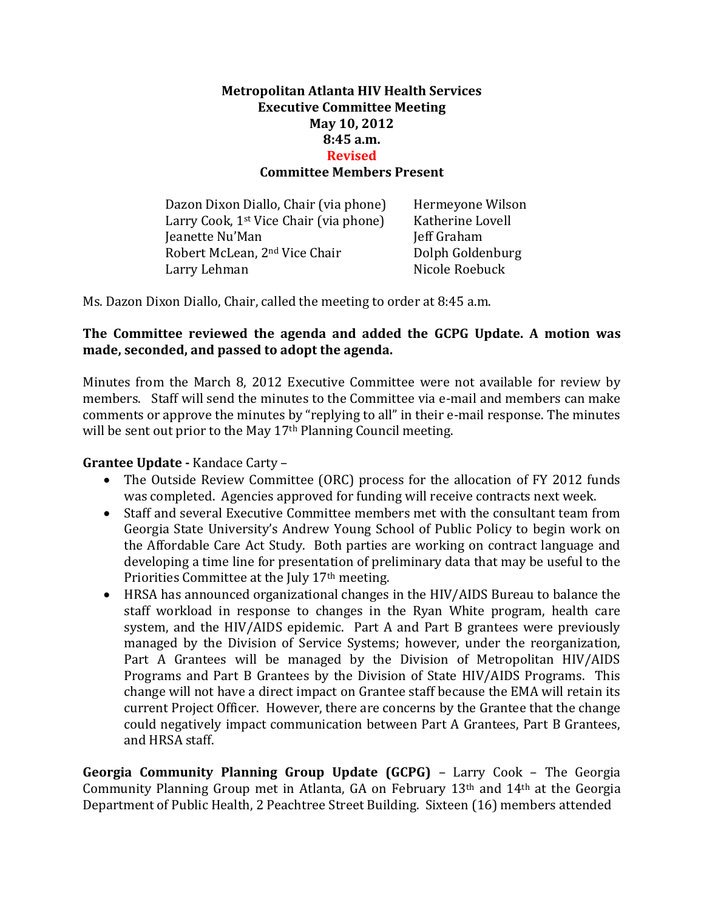## **Metropolitan Atlanta HIV Health Services Executive Committee Meeting May 10, 2012 8:45 a.m. Revised Committee Members Present**

Dazon Dixon Diallo, Chair (via phone) Hermeyone Wilson Larry Cook, 1<sup>st</sup> Vice Chair (via phone) Katherine Lovell **Jeanette Nu'Man** Jeff Graham Robert McLean, 2<sup>nd</sup> Vice Chair **Dolph Goldenburg** Larry Lehman Nicole Roebuck

Ms. Dazon Dixon Diallo, Chair, called the meeting to order at 8:45 a.m.

## **The Committee reviewed the agenda and added the GCPG Update. A motion was made, seconded, and passed to adopt the agenda.**

Minutes from the March 8, 2012 Executive Committee were not available for review by members. Staff will send the minutes to the Committee via e-mail and members can make comments or approve the minutes by "replying to all" in their e-mail response. The minutes will be sent out prior to the May 17<sup>th</sup> Planning Council meeting.

## **Grantee Update -** Kandace Carty –

- The Outside Review Committee (ORC) process for the allocation of FY 2012 funds was completed. Agencies approved for funding will receive contracts next week.
- Staff and several Executive Committee members met with the consultant team from Georgia State University's Andrew Young School of Public Policy to begin work on the Affordable Care Act Study. Both parties are working on contract language and developing a time line for presentation of preliminary data that may be useful to the Priorities Committee at the July 17<sup>th</sup> meeting.
- HRSA has announced organizational changes in the HIV/AIDS Bureau to balance the staff workload in response to changes in the Ryan White program, health care system, and the HIV/AIDS epidemic. Part A and Part B grantees were previously managed by the Division of Service Systems; however, under the reorganization, Part A Grantees will be managed by the Division of Metropolitan HIV/AIDS Programs and Part B Grantees by the Division of State HIV/AIDS Programs. This change will not have a direct impact on Grantee staff because the EMA will retain its current Project Officer. However, there are concerns by the Grantee that the change could negatively impact communication between Part A Grantees, Part B Grantees, and HRSA staff.

**Georgia Community Planning Group Update (GCPG)** – Larry Cook – The Georgia Community Planning Group met in Atlanta, GA on February 13th and 14th at the Georgia Department of Public Health, 2 Peachtree Street Building. Sixteen (16) members attended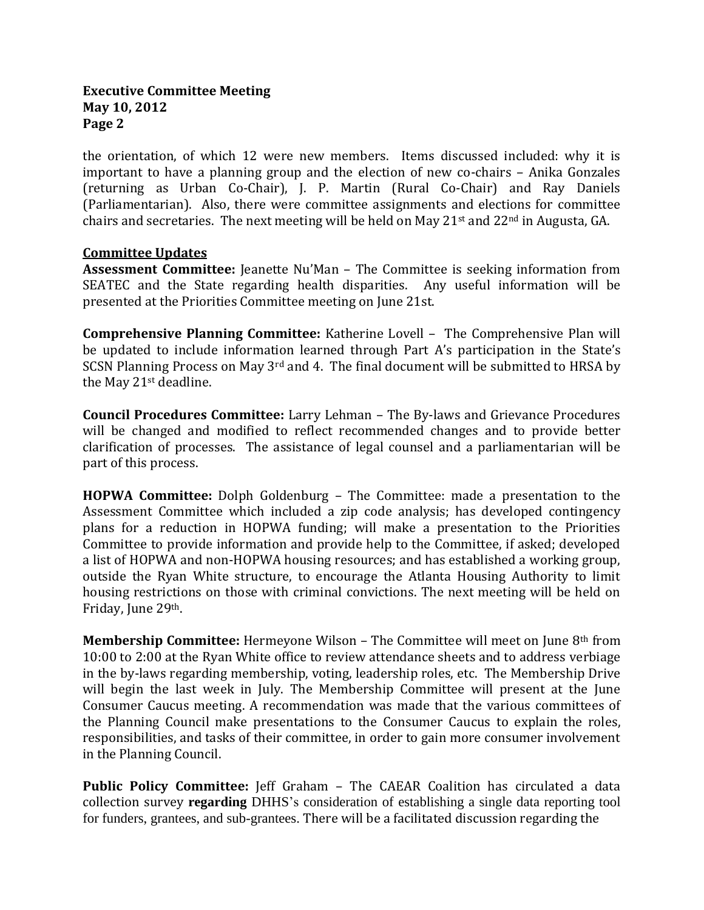#### **Executive Committee Meeting May 10, 2012 Page 2**

the orientation, of which 12 were new members. Items discussed included: why it is important to have a planning group and the election of new co-chairs – Anika Gonzales (returning as Urban Co-Chair), J. P. Martin (Rural Co-Chair) and Ray Daniels (Parliamentarian). Also, there were committee assignments and elections for committee chairs and secretaries. The next meeting will be held on May 21st and 22nd in Augusta, GA.

#### **Committee Updates**

**Assessment Committee:** Jeanette Nu'Man – The Committee is seeking information from SEATEC and the State regarding health disparities. Any useful information will be presented at the Priorities Committee meeting on June 21st.

**Comprehensive Planning Committee:** Katherine Lovell – The Comprehensive Plan will be updated to include information learned through Part A's participation in the State's SCSN Planning Process on May 3<sup>rd</sup> and 4. The final document will be submitted to HRSA by the May 21st deadline.

**Council Procedures Committee:** Larry Lehman – The By-laws and Grievance Procedures will be changed and modified to reflect recommended changes and to provide better clarification of processes. The assistance of legal counsel and a parliamentarian will be part of this process.

**HOPWA Committee:** Dolph Goldenburg – The Committee: made a presentation to the Assessment Committee which included a zip code analysis; has developed contingency plans for a reduction in HOPWA funding; will make a presentation to the Priorities Committee to provide information and provide help to the Committee, if asked; developed a list of HOPWA and non-HOPWA housing resources; and has established a working group, outside the Ryan White structure, to encourage the Atlanta Housing Authority to limit housing restrictions on those with criminal convictions. The next meeting will be held on Friday, June 29th.

**Membership Committee:** Hermeyone Wilson – The Committee will meet on June 8th from 10:00 to 2:00 at the Ryan White office to review attendance sheets and to address verbiage in the by-laws regarding membership, voting, leadership roles, etc. The Membership Drive will begin the last week in July. The Membership Committee will present at the June Consumer Caucus meeting. A recommendation was made that the various committees of the Planning Council make presentations to the Consumer Caucus to explain the roles, responsibilities, and tasks of their committee, in order to gain more consumer involvement in the Planning Council.

**Public Policy Committee:** Jeff Graham – The CAEAR Coalition has circulated a data collection survey **regarding** DHHS's consideration of establishing a single data reporting tool for funders, grantees, and sub-grantees. There will be a facilitated discussion regarding the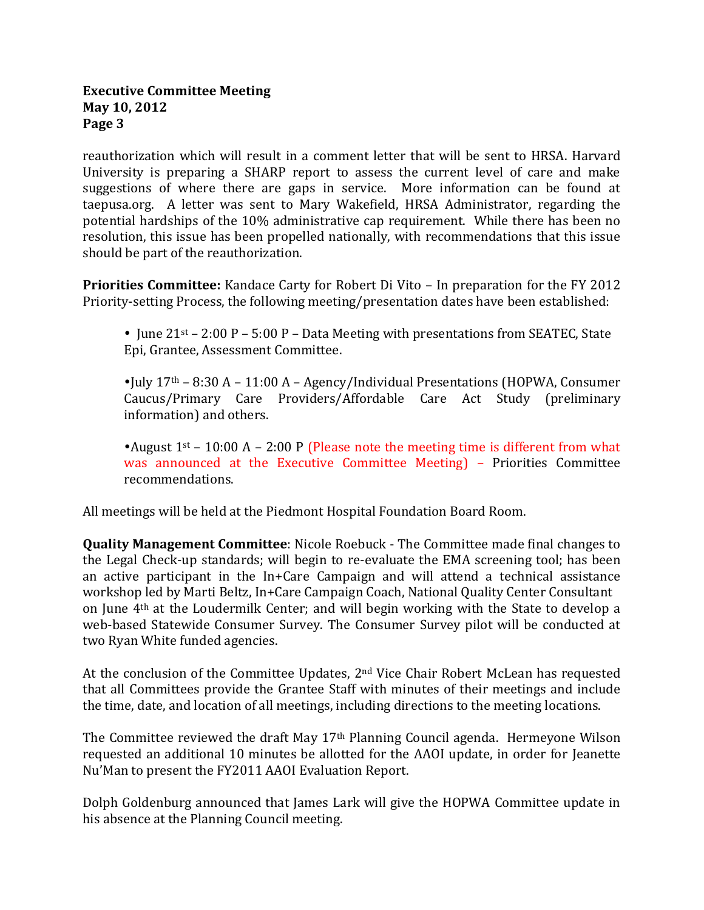#### **Executive Committee Meeting May 10, 2012 Page 3**

reauthorization which will result in a comment letter that will be sent to HRSA. Harvard University is preparing a SHARP report to assess the current level of care and make suggestions of where there are gaps in service. More information can be found at taepusa.org. A letter was sent to Mary Wakefield, HRSA Administrator, regarding the potential hardships of the 10% administrative cap requirement. While there has been no resolution, this issue has been propelled nationally, with recommendations that this issue should be part of the reauthorization.

**Priorities Committee:** Kandace Carty for Robert Di Vito – In preparation for the FY 2012 Priority-setting Process, the following meeting/presentation dates have been established:

• June  $21^{st}$  – 2:00 P – 5:00 P – Data Meeting with presentations from SEATEC, State Epi, Grantee, Assessment Committee.

 $\bullet$ July 17<sup>th</sup> – 8:30 A – 11:00 A – Agency/Individual Presentations (HOPWA, Consumer Caucus/Primary Care Providers/Affordable Care Act Study (preliminary information) and others.

• August  $1<sup>st</sup>$  – 10:00 A – 2:00 P (Please note the meeting time is different from what was announced at the Executive Committee Meeting) – Priorities Committee recommendations.

All meetings will be held at the Piedmont Hospital Foundation Board Room.

**Quality Management Committee**: Nicole Roebuck - The Committee made final changes to the Legal Check-up standards; will begin to re-evaluate the EMA screening tool; has been an active participant in the In+Care Campaign and will attend a technical assistance workshop led by Marti Beltz, In+Care Campaign Coach, National Quality Center Consultant on June 4th at the Loudermilk Center; and will begin working with the State to develop a web-based Statewide Consumer Survey. The Consumer Survey pilot will be conducted at two Ryan White funded agencies.

At the conclusion of the Committee Updates, 2nd Vice Chair Robert McLean has requested that all Committees provide the Grantee Staff with minutes of their meetings and include the time, date, and location of all meetings, including directions to the meeting locations.

The Committee reviewed the draft May 17th Planning Council agenda. Hermeyone Wilson requested an additional 10 minutes be allotted for the AAOI update, in order for Jeanette Nu'Man to present the FY2011 AAOI Evaluation Report.

Dolph Goldenburg announced that James Lark will give the HOPWA Committee update in his absence at the Planning Council meeting.